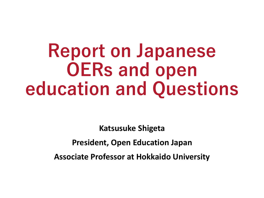# **Report on Japanese OERs and open education and Questions**

**Katsusuke Shigeta**

**President, Open Education Japan**

**Associate Professor at Hokkaido University**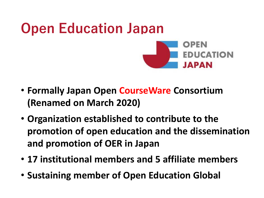

- **Formally Japan Open CourseWare Consortium (Renamed on March 2020)**
- **Organization established to contribute to the promotion of open education and the dissemination and promotion of OER in Japan**
- **17 institutional members and 5 affiliate members**
- **Sustaining member of Open Education Global**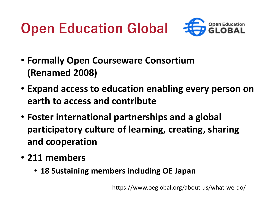## **Open Education Global**



- **Formally Open Courseware Consortium (Renamed 2008)**
- **Expand access to education enabling every person on earth to access and contribute**
- **Foster international partnerships and a global participatory culture of learning, creating, sharing and cooperation**
- **211 members**
	- **18 Sustaining members including OE Japan**

https://www.oeglobal.org/about-us/what-we-do/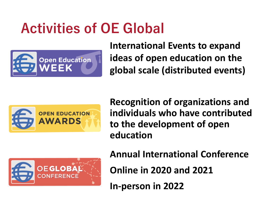### **Activities of OE Global**



**International Events to expand ideas of open education on the global scale (distributed events)**



**Recognition of organizations and individuals who have contributed to the development of open education**



**Annual International Conference**

**Online in 2020 and 2021**

**In-person in 2022**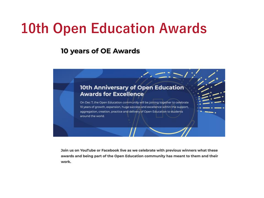### **10th Open Education Awards**

**10 years of OE Awards** 



Join us on YouTube or Facebook live as we celebrate with previous winners what these awards and being part of the Open Education community has meant to them and their work.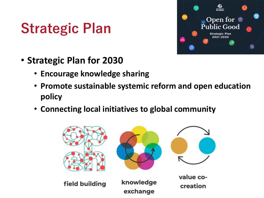### **Strategic Plan**



- **Strategic Plan for 2030**
	- **Encourage knowledge sharing**
	- **Promote sustainable systemic reform and open education policy**
	- **Connecting local initiatives to global community**

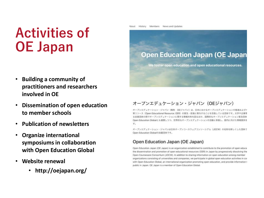### **Activities of OE Japan**

- **Building a community of practitioners and researchers involved in OE**
- **Dissemination of open education to member schools**
- **Publication of newsletters**
- **Organize international symposiums in collaboration with Open Education Global**
- **Website renewal**
	- **http://oejapan.org/**

History Members News and Updates About

#### **Open Education Japan (OE Japan**

We foster open education and open educational resources.

#### オープンエデュケーション・ジャパン (OEジャパン)

オープンエデュケーション·ジャパン (略称 OEジャパン)は、日本におけるオープンエデュケーションの推進およびァ 育リソース (Open Educational Resource: OER) の普及·促進に寄与することを目指している団体です。大学や企業等 る会員団体の間でオープンエデュケーションに関する情報共有を図るほか、国際的なオープンエデュケーション普及団体 Open Education Globalとも連携しつつ、世界的なオープンエデュケーションの活動に参画し、国内に向けた情報提供を す。

オープンエデュケーション·ジャパンは日本オープンコースウェアコンソーシアム (JOCW)の名称を新しくした団体で Open Education Globalの加盟団体です。

#### Open Education Japan (OE Japan)

Open Education Japan (OE Japan) is an organization established to contribute to the promotion of open educa the dissemination and promotion of open educational resources (OER) in Japan by progressively dissolving the Open Courseware Consortium (JOCW). In addition to sharing information on open education among member organizations consisting of universities and companies, we participate in global open education activities in cor with Open Education Global, an international organization promoting open education, and provide information t public in Japan. OE Japan is a member of Open Education Global.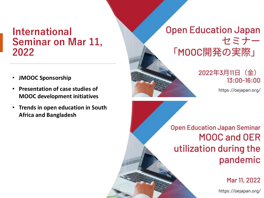### **International Seminar on Mar 11, 2022**

- **JMOOC Sponsorship**
- **Presentation of case studies of MOOC development initiatives**
- **Trends in open education in South Africa and Bangladesh**



https://oejapan.org/

**Open Education Japan Seminar** MOOC and OER utilization during the pandemic

Mar 11, 2022

https://oejapan.org/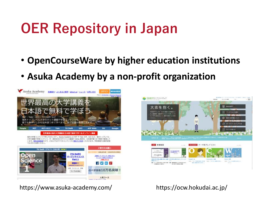### **OER Repository in Japan**

- **OpenCourseWare by higher education institutions**
- **Asuka Academy by a non-profit organization**





https://www.asuka-academy.com/ https://ocw.hokudai.ac.jp/